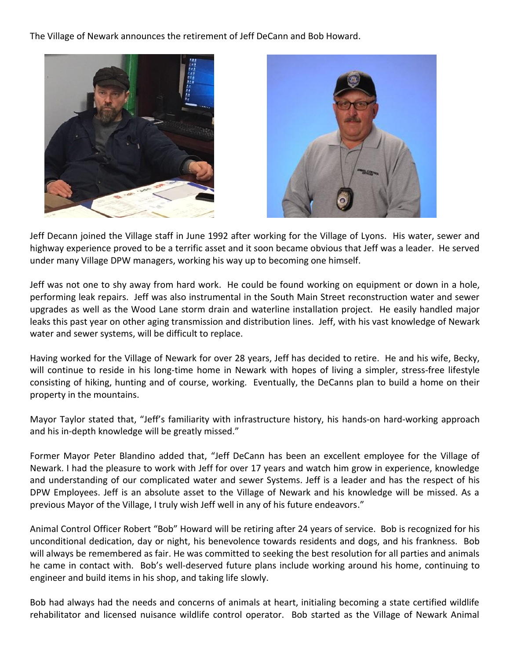The Village of Newark announces the retirement of Jeff DeCann and Bob Howard.





Jeff Decann joined the Village staff in June 1992 after working for the Village of Lyons. His water, sewer and highway experience proved to be a terrific asset and it soon became obvious that Jeff was a leader. He served under many Village DPW managers, working his way up to becoming one himself.

Jeff was not one to shy away from hard work. He could be found working on equipment or down in a hole, performing leak repairs. Jeff was also instrumental in the South Main Street reconstruction water and sewer upgrades as well as the Wood Lane storm drain and waterline installation project. He easily handled major leaks this past year on other aging transmission and distribution lines. Jeff, with his vast knowledge of Newark water and sewer systems, will be difficult to replace.

Having worked for the Village of Newark for over 28 years, Jeff has decided to retire. He and his wife, Becky, will continue to reside in his long-time home in Newark with hopes of living a simpler, stress-free lifestyle consisting of hiking, hunting and of course, working. Eventually, the DeCanns plan to build a home on their property in the mountains.

Mayor Taylor stated that, "Jeff's familiarity with infrastructure history, his hands-on hard-working approach and his in-depth knowledge will be greatly missed."

Former Mayor Peter Blandino added that, "Jeff DeCann has been an excellent employee for the Village of Newark. I had the pleasure to work with Jeff for over 17 years and watch him grow in experience, knowledge and understanding of our complicated water and sewer Systems. Jeff is a leader and has the respect of his DPW Employees. Jeff is an absolute asset to the Village of Newark and his knowledge will be missed. As a previous Mayor of the Village, I truly wish Jeff well in any of his future endeavors."

Animal Control Officer Robert "Bob" Howard will be retiring after 24 years of service. Bob is recognized for his unconditional dedication, day or night, his benevolence towards residents and dogs, and his frankness. Bob will always be remembered as fair. He was committed to seeking the best resolution for all parties and animals he came in contact with. Bob's well-deserved future plans include working around his home, continuing to engineer and build items in his shop, and taking life slowly.

Bob had always had the needs and concerns of animals at heart, initialing becoming a state certified wildlife rehabilitator and licensed nuisance wildlife control operator. Bob started as the Village of Newark Animal